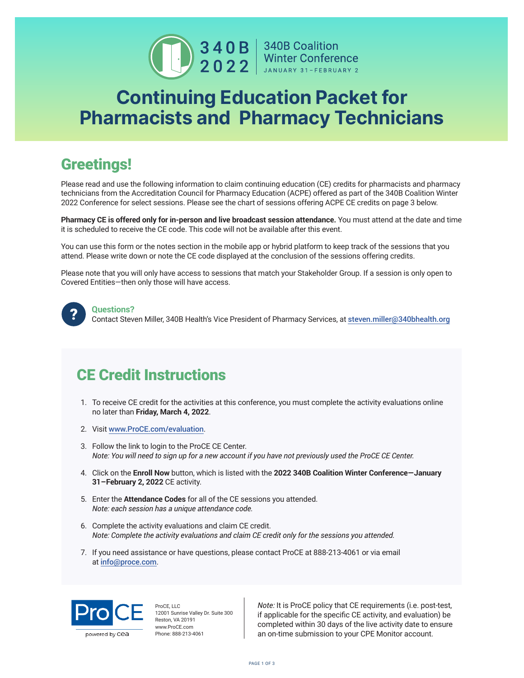

## Continuing Education Packet for Pharmacists and Pharmacy Technicians

## Greetings!

Please read and use the following information to claim continuing education (CE) credits for pharmacists and pharmacy technicians from the Accreditation Council for Pharmacy Education (ACPE) offered as part of the 340B Coalition Winter 2022 Conference for select sessions. Please see the chart of sessions offering ACPE CE credits on page 3 below.

**Pharmacy CE is offered only for in-person and live broadcast session attendance.** You must attend at the date and time it is scheduled to receive the CE code. This code will not be available after this event.

You can use this form or the notes section in the mobile app or hybrid platform to keep track of the sessions that you attend. Please write down or note the CE code displayed at the conclusion of the sessions offering credits.

Please note that you will only have access to sessions that match your Stakeholder Group. If a session is only open to Covered Entities—then only those will have access.



## **Questions?**

Contact Steven Miller, 340B Health's Vice President of Pharmacy Services, at [steven.miller@340bhealth.org](mailto:steven.miller%40340bhealth.org?subject=)

## CE Credit Instructions

- 1. To receive CE credit for the activities at this conference, you must complete the activity evaluations online no later than **Friday, March 4, 2022**.
- 2. Visit [www.ProCE.com/evaluation](http://www.ProCE.com/evaluation).
- 3. Follow the link to login to the ProCE CE Center. *Note: You will need to sign up for a new account if you have not previously used the ProCE CE Center.*
- 4. Click on the **Enroll Now** button, which is listed with the **2022 340B Coalition Winter Conference—January 31–February 2, 2022** CE activity.
- 5. Enter the **Attendance Codes** for all of the CE sessions you attended. *Note: each session has a unique attendance code.*
- 6. Complete the activity evaluations and claim CE credit. *Note: Complete the activity evaluations and claim CE credit only for the sessions you attended.*
- 7. If you need assistance or have questions, please contact ProCE at 888-213-4061 or via email at [info@proce.com](mailto:info%40proce.com?subject=).



ProCE, LLC 12001 Sunrise Valley Dr. Suite 300 Reston, VA 20191 www.ProCE.com Phone: 888-213-4061

*Note:* It is ProCE policy that CE requirements (i.e. post-test, if applicable for the specific CE activity, and evaluation) be completed within 30 days of the live activity date to ensure an on-time submission to your CPE Monitor account.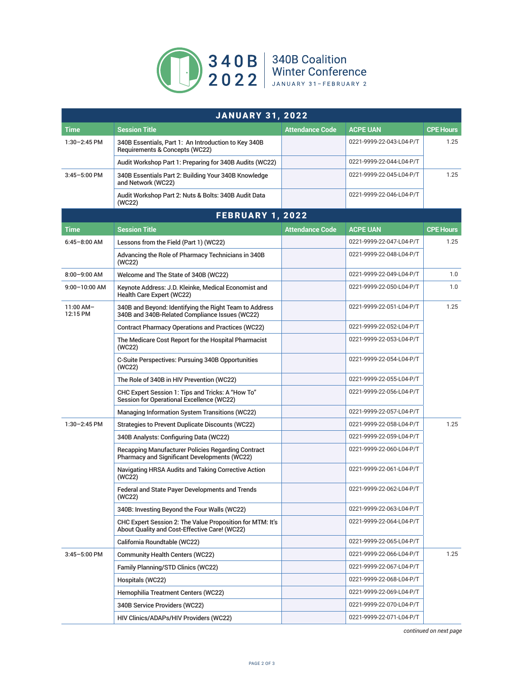

|                         | <b>JANUARY 31, 2022</b>                                                                                    |                        |                          |                  |  |  |
|-------------------------|------------------------------------------------------------------------------------------------------------|------------------------|--------------------------|------------------|--|--|
| <b>Time</b>             | <b>Session Title</b>                                                                                       | <b>Attendance Code</b> | ACPE UAN                 | <b>CPE Hours</b> |  |  |
| 1:30-2:45 PM            | 340B Essentials, Part 1: An Introduction to Key 340B<br>Requirements & Concepts (WC22)                     |                        | 0221-9999-22-043-L04-P/T | 1.25             |  |  |
|                         | Audit Workshop Part 1: Preparing for 340B Audits (WC22)                                                    |                        | 0221-9999-22-044-L04-P/T |                  |  |  |
| $3:45 - 5:00$ PM        | 340B Essentials Part 2: Building Your 340B Knowledge<br>and Network (WC22)                                 |                        | 0221-9999-22-045-L04-P/T | 1.25             |  |  |
|                         | Audit Workshop Part 2: Nuts & Bolts: 340B Audit Data<br>(WC22)                                             |                        | 0221-9999-22-046-L04-P/T |                  |  |  |
| <b>FEBRUARY 1, 2022</b> |                                                                                                            |                        |                          |                  |  |  |
| <b>Time</b>             | <b>Session Title</b>                                                                                       | Attendance Code        | <b>ACPE UAN</b>          | <b>CPE Hours</b> |  |  |
| $6:45 - 8:00$ AM        | Lessons from the Field (Part 1) (WC22)                                                                     |                        | 0221-9999-22-047-L04-P/T | 1.25             |  |  |
|                         | Advancing the Role of Pharmacy Technicians in 340B<br>(WC22)                                               |                        | 0221-9999-22-048-L04-P/T |                  |  |  |
| $8:00 - 9:00$ AM        | Welcome and The State of 340B (WC22)                                                                       |                        | 0221-9999-22-049-L04-P/T | 1.0              |  |  |
| $9:00 - 10:00$ AM       | Keynote Address: J.D. Kleinke, Medical Economist and<br>Health Care Expert (WC22)                          |                        | 0221-9999-22-050-L04-P/T | 1.0              |  |  |
| $11:00$ AM-<br>12:15 PM | 340B and Beyond: Identifying the Right Team to Address<br>340B and 340B-Related Compliance Issues (WC22)   |                        | 0221-9999-22-051-L04-P/T | 1.25             |  |  |
|                         | <b>Contract Pharmacy Operations and Practices (WC22)</b>                                                   |                        | 0221-9999-22-052-L04-P/T |                  |  |  |
|                         | The Medicare Cost Report for the Hospital Pharmacist<br>(WC22)                                             |                        | 0221-9999-22-053-L04-P/T |                  |  |  |
|                         | C-Suite Perspectives: Pursuing 340B Opportunities<br>(WC22)                                                |                        | 0221-9999-22-054-L04-P/T |                  |  |  |
|                         | The Role of 340B in HIV Prevention (WC22)                                                                  |                        | 0221-9999-22-055-L04-P/T |                  |  |  |
|                         | CHC Expert Session 1: Tips and Tricks: A "How To"<br><b>Session for Operational Excellence (WC22)</b>      |                        | 0221-9999-22-056-L04-P/T |                  |  |  |
|                         | <b>Managing Information System Transitions (WC22)</b>                                                      |                        | 0221-9999-22-057-L04-P/T |                  |  |  |
| 1:30-2:45 PM            | Strategies to Prevent Duplicate Discounts (WC22)                                                           |                        | 0221-9999-22-058-L04-P/T | 1.25             |  |  |
|                         | 340B Analysts: Configuring Data (WC22)                                                                     |                        | 0221-9999-22-059-L04-P/T |                  |  |  |
|                         | Recapping Manufacturer Policies Regarding Contract<br>Pharmacy and Significant Developments (WC22)         |                        | 0221-9999-22-060-L04-P/T |                  |  |  |
|                         | Navigating HRSA Audits and Taking Corrective Action<br>(WC22)                                              |                        | 0221-9999-22-061-L04-P/T |                  |  |  |
|                         | Federal and State Payer Developments and Trends<br>(WC22)                                                  |                        | 0221-9999-22-062-L04-P/T |                  |  |  |
|                         | 340B: Investing Beyond the Four Walls (WC22)                                                               |                        | 0221-9999-22-063-L04-P/T |                  |  |  |
|                         | CHC Expert Session 2: The Value Proposition for MTM: It's<br>About Quality and Cost-Effective Care! (WC22) |                        | 0221-9999-22-064-L04-P/T |                  |  |  |
|                         | California Roundtable (WC22)                                                                               |                        | 0221-9999-22-065-L04-P/T |                  |  |  |
| $3:45 - 5:00$ PM        | <b>Community Health Centers (WC22)</b>                                                                     |                        | 0221-9999-22-066-L04-P/T | 1.25             |  |  |
|                         | Family Planning/STD Clinics (WC22)                                                                         |                        | 0221-9999-22-067-L04-P/T |                  |  |  |
|                         | Hospitals (WC22)                                                                                           |                        | 0221-9999-22-068-L04-P/T |                  |  |  |
|                         | Hemophilia Treatment Centers (WC22)                                                                        |                        | 0221-9999-22-069-L04-P/T |                  |  |  |
|                         | 340B Service Providers (WC22)                                                                              |                        | 0221-9999-22-070-L04-P/T |                  |  |  |
|                         | HIV Clinics/ADAPs/HIV Providers (WC22)                                                                     |                        | 0221-9999-22-071-L04-P/T |                  |  |  |

*continued on next page*